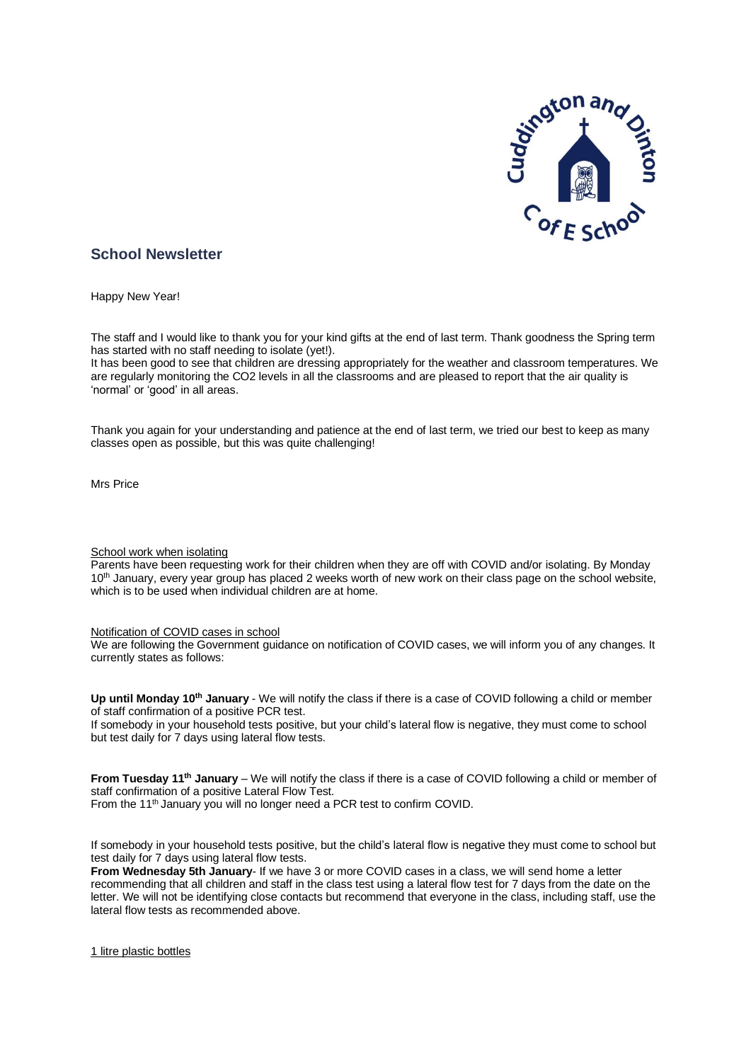

# **School Newsletter**

Happy New Year!

The staff and I would like to thank you for your kind gifts at the end of last term. Thank goodness the Spring term has started with no staff needing to isolate (yet!).

It has been good to see that children are dressing appropriately for the weather and classroom temperatures. We are regularly monitoring the CO2 levels in all the classrooms and are pleased to report that the air quality is 'normal' or 'good' in all areas.

Thank you again for your understanding and patience at the end of last term, we tried our best to keep as many classes open as possible, but this was quite challenging!

Mrs Price

# School work when isolating

Parents have been requesting work for their children when they are off with COVID and/or isolating. By Monday 10<sup>th</sup> January, every year group has placed 2 weeks worth of new work on their class page on the school website, which is to be used when individual children are at home.

# Notification of COVID cases in school

We are following the Government guidance on notification of COVID cases, we will inform you of any changes. It currently states as follows:

**Up until Monday 10 th January** - We will notify the class if there is a case of COVID following a child or member of staff confirmation of a positive PCR test.

If somebody in your household tests positive, but your child's lateral flow is negative, they must come to school but test daily for 7 days using lateral flow tests.

**From Tuesday 11 th January** – We will notify the class if there is a case of COVID following a child or member of staff confirmation of a positive Lateral Flow Test.

From the 11<sup>th</sup> January you will no longer need a PCR test to confirm COVID.

If somebody in your household tests positive, but the child's lateral flow is negative they must come to school but test daily for 7 days using lateral flow tests.

**From Wednesday 5th January**- If we have 3 or more COVID cases in a class, we will send home a letter recommending that all children and staff in the class test using a lateral flow test for 7 days from the date on the letter. We will not be identifying close contacts but recommend that everyone in the class, including staff, use the lateral flow tests as recommended above.

1 litre plastic bottles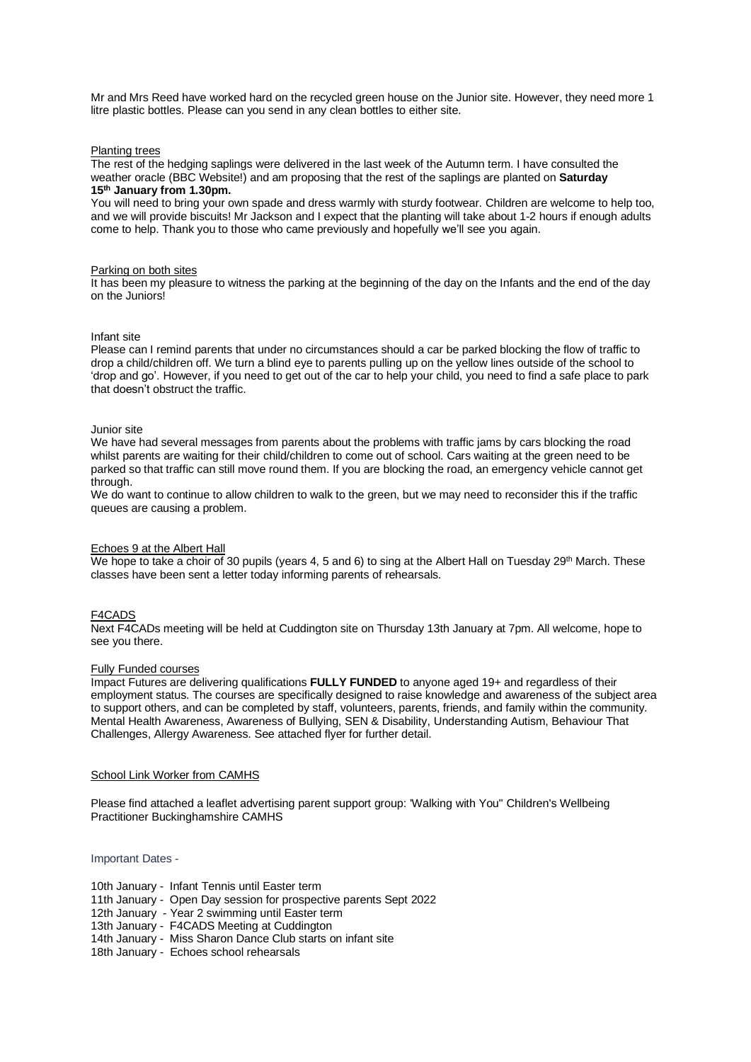Mr and Mrs Reed have worked hard on the recycled green house on the Junior site. However, they need more 1 litre plastic bottles. Please can you send in any clean bottles to either site.

#### Planting trees

The rest of the hedging saplings were delivered in the last week of the Autumn term. I have consulted the weather oracle (BBC Website!) and am proposing that the rest of the saplings are planted on **Saturday 15 th January from 1.30pm.**

You will need to bring your own spade and dress warmly with sturdy footwear. Children are welcome to help too, and we will provide biscuits! Mr Jackson and I expect that the planting will take about 1-2 hours if enough adults come to help. Thank you to those who came previously and hopefully we'll see you again.

#### Parking on both sites

It has been my pleasure to witness the parking at the beginning of the day on the Infants and the end of the day on the Juniors!

### Infant site

Please can I remind parents that under no circumstances should a car be parked blocking the flow of traffic to drop a child/children off. We turn a blind eye to parents pulling up on the yellow lines outside of the school to 'drop and go'. However, if you need to get out of the car to help your child, you need to find a safe place to park that doesn't obstruct the traffic.

#### Junior site

We have had several messages from parents about the problems with traffic jams by cars blocking the road whilst parents are waiting for their child/children to come out of school. Cars waiting at the green need to be parked so that traffic can still move round them. If you are blocking the road, an emergency vehicle cannot get through.

We do want to continue to allow children to walk to the green, but we may need to reconsider this if the traffic queues are causing a problem.

#### Echoes 9 at the Albert Hall

We hope to take a choir of 30 pupils (years 4, 5 and 6) to sing at the Albert Hall on Tuesday 29<sup>th</sup> March. These classes have been sent a letter today informing parents of rehearsals.

#### F4CADS

Next F4CADs meeting will be held at Cuddington site on Thursday 13th January at 7pm. All welcome, hope to see you there.

## Fully Funded courses

Impact Futures are delivering qualifications **FULLY FUNDED** to anyone aged 19+ and regardless of their employment status. The courses are specifically designed to raise knowledge and awareness of the subject area to support others, and can be completed by staff, volunteers, parents, friends, and family within the community. Mental Health Awareness, Awareness of Bullying, SEN & Disability, Understanding Autism, Behaviour That Challenges, Allergy Awareness. See attached flyer for further detail.

# School Link Worker from CAMHS

Please find attached a leaflet advertising parent support group: 'Walking with You" Children's Wellbeing Practitioner Buckinghamshire CAMHS

Important Dates -

| 10th January - Infant Tennis until Easter term |  |  |  |  |  |
|------------------------------------------------|--|--|--|--|--|
|------------------------------------------------|--|--|--|--|--|

- 11th January Open Day session for prospective parents Sept 2022
- 12th January Year 2 swimming until Easter term
- 13th January F4CADS Meeting at Cuddington
- 14th January Miss Sharon Dance Club starts on infant site
- 18th January Echoes school rehearsals